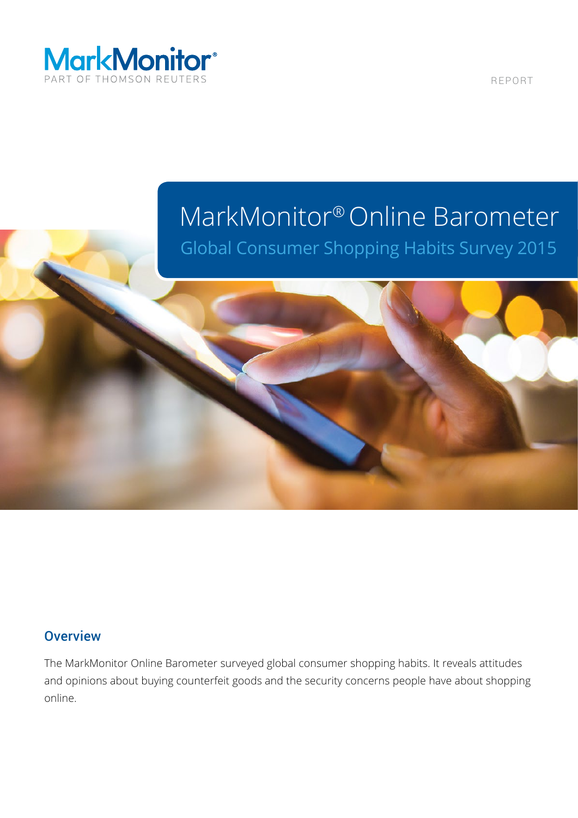

REPORT

## MarkMonitor® Online Barometer

Global Consumer Shopping Habits Survey 2015

### **Overview**

The MarkMonitor Online Barometer surveyed global consumer shopping habits. It reveals attitudes and opinions about buying counterfeit goods and the security concerns people have about shopping online.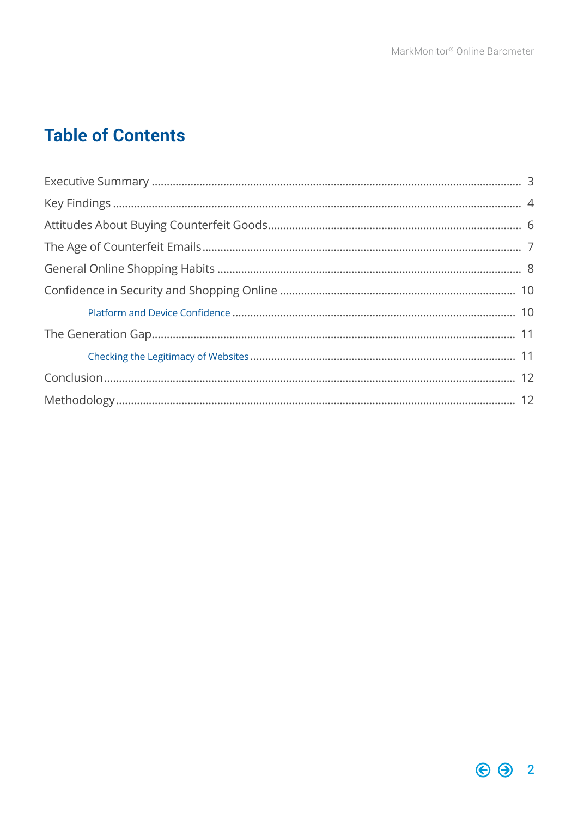### **Table of Contents**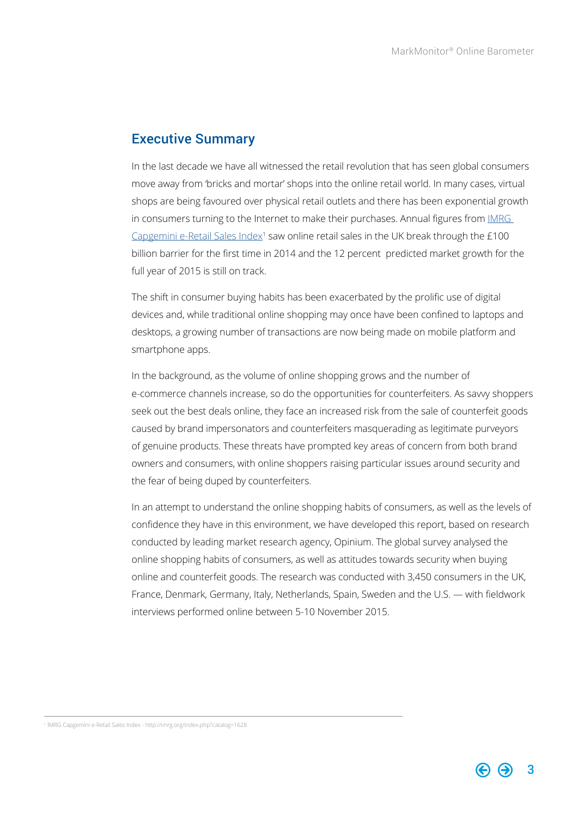### <span id="page-2-0"></span>Executive Summary

In the last decade we have all witnessed the retail revolution that has seen global consumers move away from 'bricks and mortar' shops into the online retail world. In many cases, virtual shops are being favoured over physical retail outlets and there has been exponential growth in consumers turning to the Internet to make their purchases. Annual figures from [IMRG](http://imrg.org/index.php?catalog=1628)  Capgemini e-Retail Sales Index<sup>1</sup> saw online retail sales in the UK break through the  $£100$ billion barrier for the first time in 2014 and the 12 percent predicted market growth for the full year of 2015 is still on track.

The shift in consumer buying habits has been exacerbated by the prolific use of digital devices and, while traditional online shopping may once have been confined to laptops and desktops, a growing number of transactions are now being made on mobile platform and smartphone apps.

In the background, as the volume of online shopping grows and the number of e-commerce channels increase, so do the opportunities for counterfeiters. As savy shoppers seek out the best deals online, they face an increased risk from the sale of counterfeit goods caused by brand impersonators and counterfeiters masquerading as legitimate purveyors of genuine products. These threats have prompted key areas of concern from both brand owners and consumers, with online shoppers raising particular issues around security and the fear of being duped by counterfeiters.

In an attempt to understand the online shopping habits of consumers, as well as the levels of confidence they have in this environment, we have developed this report, based on research conducted by leading market research agency, Opinium. The global survey analysed the online shopping habits of consumers, as well as attitudes towards security when buying online and counterfeit goods. The research was conducted with 3,450 consumers in the UK, France, Denmark, Germany, Italy, Netherlands, Spain, Sweden and the U.S. — with fieldwork interviews performed online between 5-10 November 2015.

<sup>1</sup> IMRG Capgemini e-Retail Sales Index - http://imrg.org/index.php?catalog=1628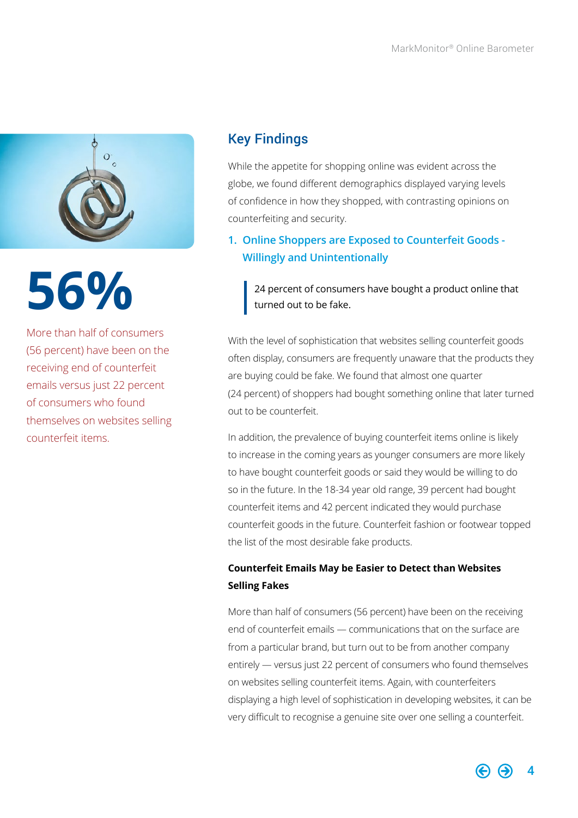<span id="page-3-0"></span>

More than half of consumers (56 percent) have been on the receiving end of counterfeit emails versus just 22 percent of consumers who found themselves on websites selling counterfeit items.

### Key Findings

While the appetite for shopping online was evident across the globe, we found different demographics displayed varying levels of confidence in how they shopped, with contrasting opinions on counterfeiting and security.

**1. Online Shoppers are Exposed to Counterfeit Goods - Willingly and Unintentionally**

**56 24** percent of consumers have bought a product online that turned out to be fake. turned out to be fake.

> With the level of sophistication that websites selling counterfeit goods often display, consumers are frequently unaware that the products they are buying could be fake. We found that almost one quarter (24 percent) of shoppers had bought something online that later turned out to be counterfeit.

In addition, the prevalence of buying counterfeit items online is likely to increase in the coming years as younger consumers are more likely to have bought counterfeit goods or said they would be willing to do so in the future. In the 18-34 year old range, 39 percent had bought counterfeit items and 42 percent indicated they would purchase counterfeit goods in the future. Counterfeit fashion or footwear topped the list of the most desirable fake products.

### **Counterfeit Emails May be Easier to Detect than Websites Selling Fakes**

More than half of consumers (56 percent) have been on the receiving end of counterfeit emails — communications that on the surface are from a particular brand, but turn out to be from another company entirely — versus just 22 percent of consumers who found themselves on websites selling counterfeit items. Again, with counterfeiters displaying a high level of sophistication in developing websites, it can be very difficult to recognise a genuine site over one selling a counterfeit.

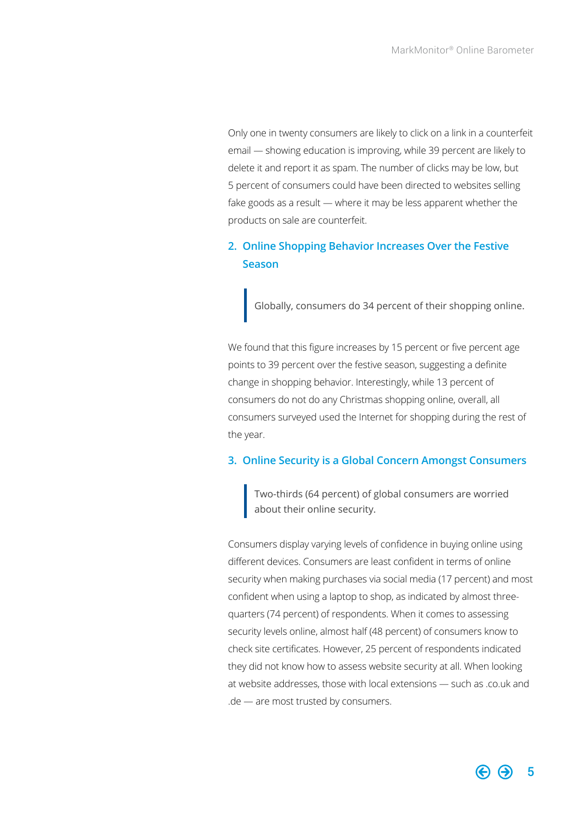Only one in twenty consumers are likely to click on a link in a counterfeit email — showing education is improving, while 39 percent are likely to delete it and report it as spam. The number of clicks may be low, but 5 percent of consumers could have been directed to websites selling fake goods as a result — where it may be less apparent whether the products on sale are counterfeit.

### **2. Online Shopping Behavior Increases Over the Festive Season**

Globally, consumers do 34 percent of their shopping online.

We found that this figure increases by 15 percent or five percent age points to 39 percent over the festive season, suggesting a definite change in shopping behavior. Interestingly, while 13 percent of consumers do not do any Christmas shopping online, overall, all consumers surveyed used the Internet for shopping during the rest of the year.

### **3. Online Security is a Global Concern Amongst Consumers**

Two-thirds (64 percent) of global consumers are worried about their online security.

Consumers display varying levels of confidence in buying online using different devices. Consumers are least confident in terms of online security when making purchases via social media (17 percent) and most confident when using a laptop to shop, as indicated by almost threequarters (74 percent) of respondents. When it comes to assessing security levels online, almost half (48 percent) of consumers know to check site certificates. However, 25 percent of respondents indicated they did not know how to assess website security at all. When looking at website addresses, those with local extensions — such as .co.uk and .de — are most trusted by consumers.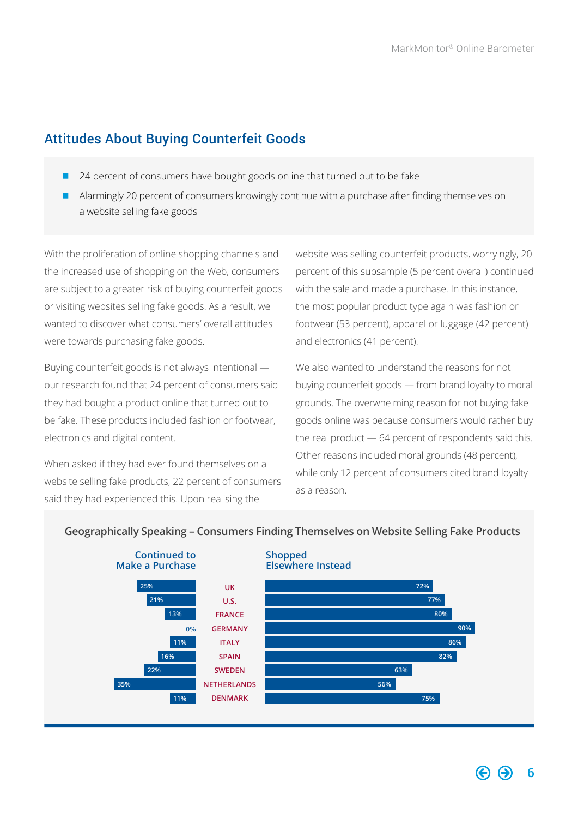### <span id="page-5-0"></span>Attitudes About Buying Counterfeit Goods

- 24 percent of consumers have bought goods online that turned out to be fake
- Alarmingly 20 percent of consumers knowingly continue with a purchase after finding themselves on a website selling fake goods

With the proliferation of online shopping channels and the increased use of shopping on the Web, consumers are subject to a greater risk of buying counterfeit goods or visiting websites selling fake goods. As a result, we wanted to discover what consumers' overall attitudes were towards purchasing fake goods.

Buying counterfeit goods is not always intentional our research found that 24 percent of consumers said they had bought a product online that turned out to be fake. These products included fashion or footwear, electronics and digital content.

When asked if they had ever found themselves on a website selling fake products, 22 percent of consumers said they had experienced this. Upon realising the

website was selling counterfeit products, worryingly, 20 percent of this subsample (5 percent overall) continued with the sale and made a purchase. In this instance, the most popular product type again was fashion or footwear (53 percent), apparel or luggage (42 percent) and electronics (41 percent).

We also wanted to understand the reasons for not buying counterfeit goods — from brand loyalty to moral grounds. The overwhelming reason for not buying fake goods online was because consumers would rather buy the real product — 64 percent of respondents said this. Other reasons included moral grounds (48 percent), while only 12 percent of consumers cited brand loyalty as a reason.



### **Geographically Speaking – Consumers Finding Themselves on Website Selling Fake Products**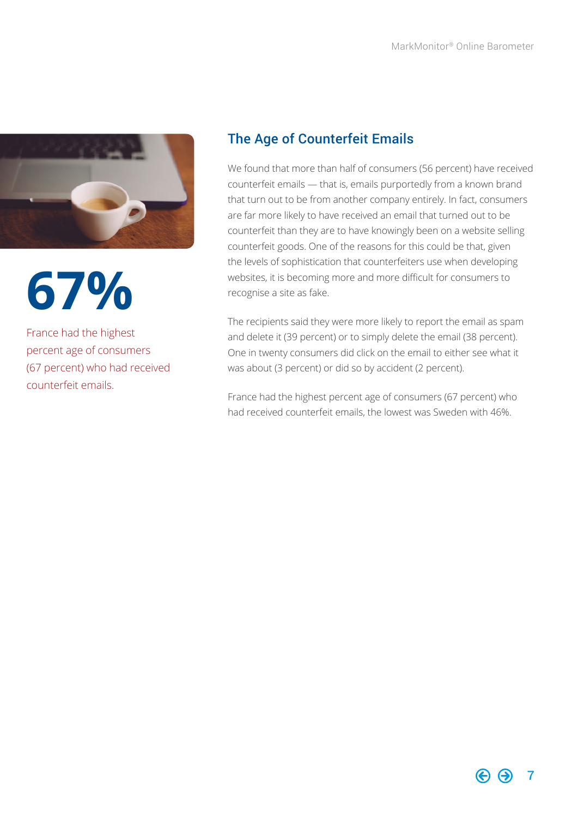

**67%**

France had the highest percent age of consumers (67 percent) who had received counterfeit emails.

### The Age of Counterfeit Emails

We found that more than half of consumers (56 percent) have received counterfeit emails — that is, emails purportedly from a known brand that turn out to be from another company entirely. In fact, consumers are far more likely to have received an email that turned out to be counterfeit than they are to have knowingly been on a website selling counterfeit goods. One of the reasons for this could be that, given the levels of sophistication that counterfeiters use when developing websites, it is becoming more and more difficult for consumers to recognise a site as fake.

The recipients said they were more likely to report the email as spam and delete it (39 percent) or to simply delete the email (38 percent). One in twenty consumers did click on the email to either see what it was about (3 percent) or did so by accident (2 percent).

France had the highest percent age of consumers (67 percent) who had received counterfeit emails, the lowest was Sweden with 46%.

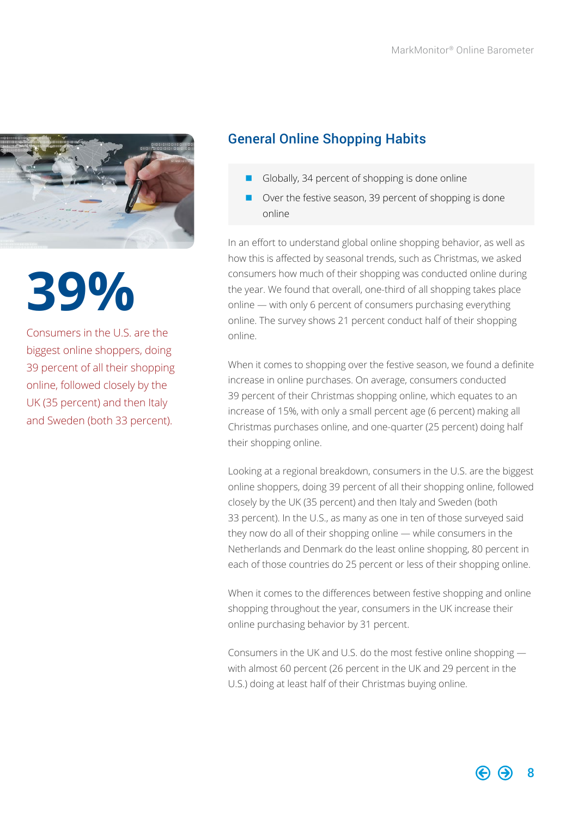<span id="page-7-0"></span>

# **39%**

Consumers in the U.S. are the biggest online shoppers, doing 39 percent of all their shopping online, followed closely by the UK (35 percent) and then Italy and Sweden (both 33 percent).

### General Online Shopping Habits

- Globally, 34 percent of shopping is done online
- Over the festive season, 39 percent of shopping is done online

In an effort to understand global online shopping behavior, as well as how this is affected by seasonal trends, such as Christmas, we asked consumers how much of their shopping was conducted online during the year. We found that overall, one-third of all shopping takes place online — with only 6 percent of consumers purchasing everything online. The survey shows 21 percent conduct half of their shopping online.

When it comes to shopping over the festive season, we found a definite increase in online purchases. On average, consumers conducted 39 percent of their Christmas shopping online, which equates to an increase of 15%, with only a small percent age (6 percent) making all Christmas purchases online, and one-quarter (25 percent) doing half their shopping online.

Looking at a regional breakdown, consumers in the U.S. are the biggest online shoppers, doing 39 percent of all their shopping online, followed closely by the UK (35 percent) and then Italy and Sweden (both 33 percent). In the U.S., as many as one in ten of those surveyed said they now do all of their shopping online — while consumers in the Netherlands and Denmark do the least online shopping, 80 percent in each of those countries do 25 percent or less of their shopping online.

When it comes to the differences between festive shopping and online shopping throughout the year, consumers in the UK increase their online purchasing behavior by 31 percent.

Consumers in the UK and U.S. do the most festive online shopping with almost 60 percent (26 percent in the UK and 29 percent in the U.S.) doing at least half of their Christmas buying online.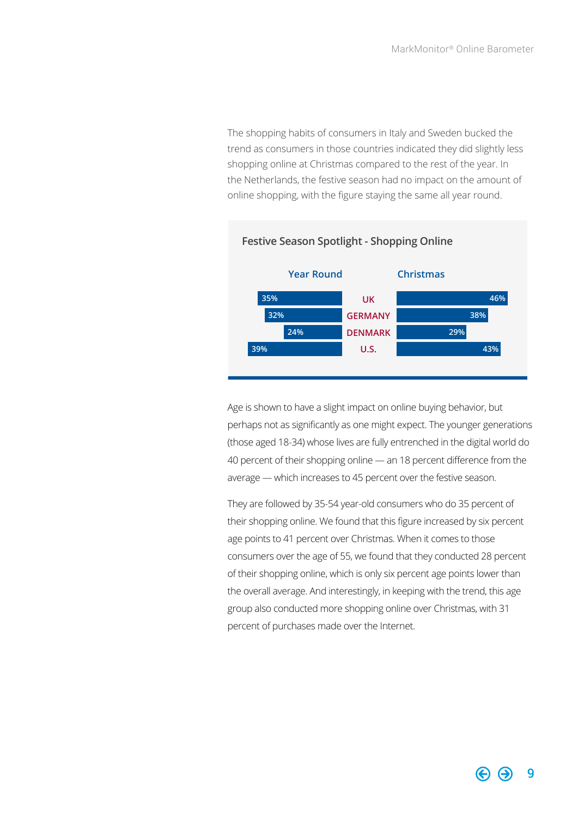The shopping habits of consumers in Italy and Sweden bucked the trend as consumers in those countries indicated they did slightly less shopping online at Christmas compared to the rest of the year. In the Netherlands, the festive season had no impact on the amount of online shopping, with the figure staying the same all year round.



### **Festive Season Spotlight - Shopping Online**

Age is shown to have a slight impact on online buying behavior, but perhaps not as significantly as one might expect. The younger generations (those aged 18-34) whose lives are fully entrenched in the digital world do 40 percent of their shopping online — an 18 percent difference from the average — which increases to 45 percent over the festive season.

They are followed by 35-54 year-old consumers who do 35 percent of their shopping online. We found that this figure increased by six percent age points to 41 percent over Christmas. When it comes to those consumers over the age of 55, we found that they conducted 28 percent of their shopping online, which is only six percent age points lower than the overall average. And interestingly, in keeping with the trend, this age group also conducted more shopping online over Christmas, with 31 percent of purchases made over the Internet.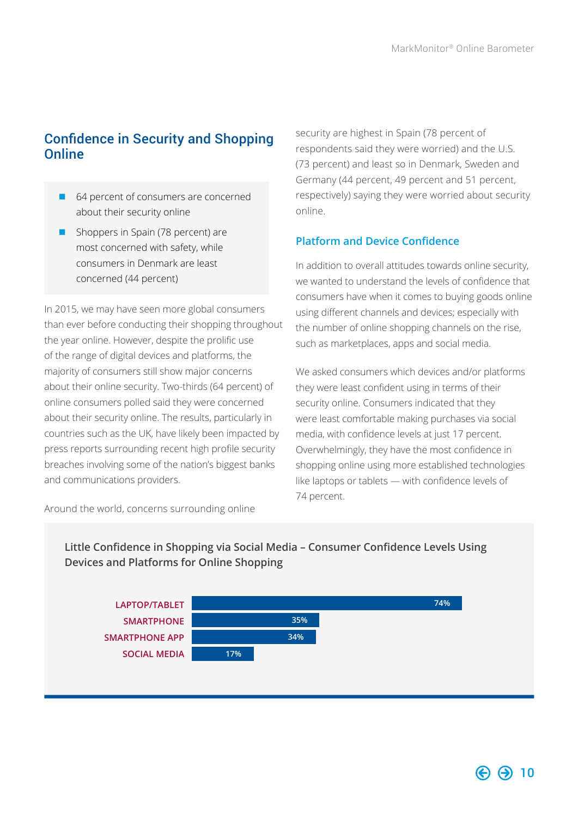### Confidence in Security and Shopping **Online**

- 64 percent of consumers are concerned about their security online
- **n** Shoppers in Spain (78 percent) are most concerned with safety, while consumers in Denmark are least concerned (44 percent)

In 2015, we may have seen more global consumers than ever before conducting their shopping throughout the year online. However, despite the prolific use of the range of digital devices and platforms, the majority of consumers still show major concerns about their online security. Two-thirds (64 percent) of online consumers polled said they were concerned about their security online. The results, particularly in countries such as the UK, have likely been impacted by press reports surrounding recent high profile security breaches involving some of the nation's biggest banks and communications providers.

security are highest in Spain (78 percent of respondents said they were worried) and the U.S. (73 percent) and least so in Denmark, Sweden and Germany (44 percent, 49 percent and 51 percent, respectively) saying they were worried about security online.

### **Platform and Device Confidence**

In addition to overall attitudes towards online security, we wanted to understand the levels of confidence that consumers have when it comes to buying goods online using different channels and devices; especially with the number of online shopping channels on the rise, such as marketplaces, apps and social media.

We asked consumers which devices and/or platforms they were least confident using in terms of their security online. Consumers indicated that they were least comfortable making purchases via social media, with confidence levels at just 17 percent. Overwhelmingly, they have the most confidence in shopping online using more established technologies like laptops or tablets — with confidence levels of 74 percent.

Around the world, concerns surrounding online

**Little Confidence in Shopping via Social Media – Consumer Confidence Levels Using Devices and Platforms for Online Shopping**

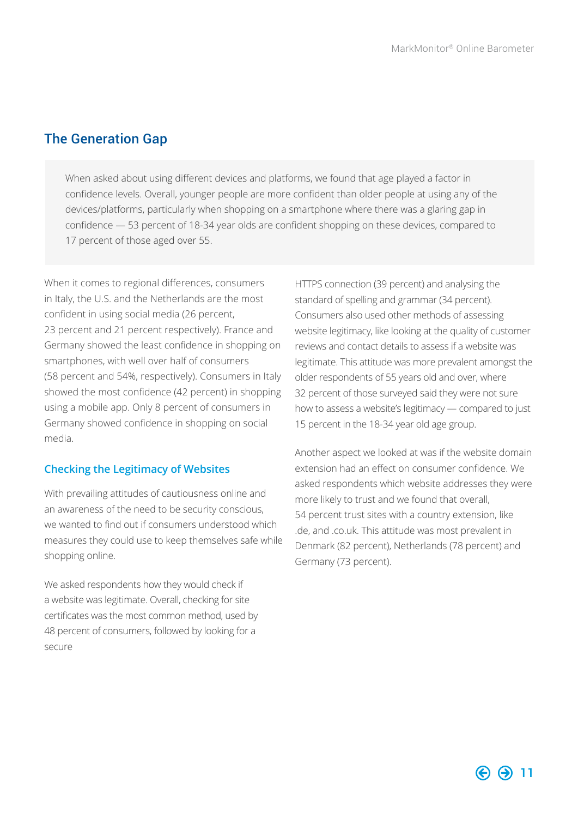### <span id="page-10-0"></span>The Generation Gap

When asked about using different devices and platforms, we found that age played a factor in confidence levels. Overall, younger people are more confident than older people at using any of the devices/platforms, particularly when shopping on a smartphone where there was a glaring gap in confidence — 53 percent of 18-34 year olds are confident shopping on these devices, compared to 17 percent of those aged over 55.

When it comes to regional differences, consumers in Italy, the U.S. and the Netherlands are the most confident in using social media (26 percent, 23 percent and 21 percent respectively). France and Germany showed the least confidence in shopping on smartphones, with well over half of consumers (58 percent and 54%, respectively). Consumers in Italy showed the most confidence (42 percent) in shopping using a mobile app. Only 8 percent of consumers in Germany showed confidence in shopping on social media.

### **Checking the Legitimacy of Websites**

With prevailing attitudes of cautiousness online and an awareness of the need to be security conscious, we wanted to find out if consumers understood which measures they could use to keep themselves safe while shopping online.

We asked respondents how they would check if a website was legitimate. Overall, checking for site certificates was the most common method, used by 48 percent of consumers, followed by looking for a secure

HTTPS connection (39 percent) and analysing the standard of spelling and grammar (34 percent). Consumers also used other methods of assessing website legitimacy, like looking at the quality of customer reviews and contact details to assess if a website was legitimate. This attitude was more prevalent amongst the older respondents of 55 years old and over, where 32 percent of those surveyed said they were not sure how to assess a website's legitimacy — compared to just 15 percent in the 18-34 year old age group.

Another aspect we looked at was if the website domain extension had an effect on consumer confidence. We asked respondents which website addresses they were more likely to trust and we found that overall, 54 percent trust sites with a country extension, like .de, and .co.uk. This attitude was most prevalent in Denmark (82 percent), Netherlands (78 percent) and Germany (73 percent).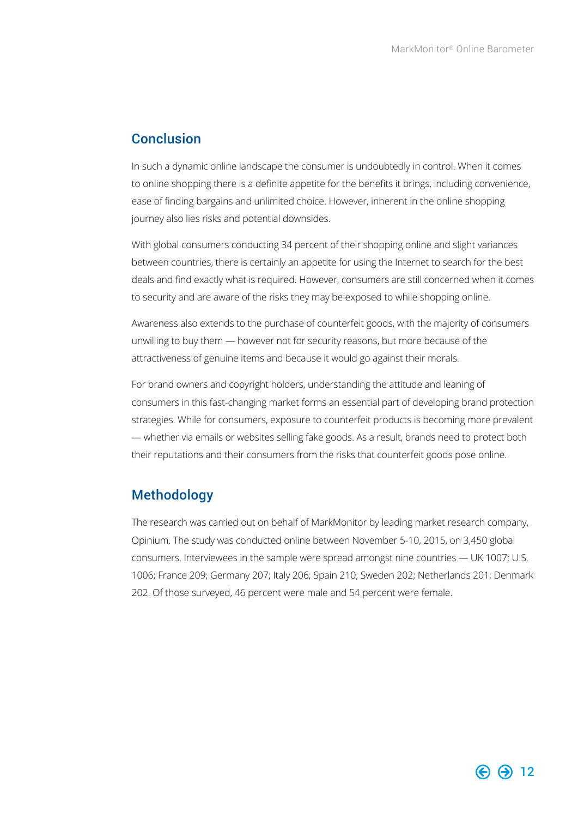### <span id="page-11-0"></span>**Conclusion**

In such a dynamic online landscape the consumer is undoubtedly in control. When it comes to online shopping there is a definite appetite for the benefits it brings, including convenience, ease of finding bargains and unlimited choice. However, inherent in the online shopping journey also lies risks and potential downsides.

With global consumers conducting 34 percent of their shopping online and slight variances between countries, there is certainly an appetite for using the Internet to search for the best deals and find exactly what is required. However, consumers are still concerned when it comes to security and are aware of the risks they may be exposed to while shopping online.

Awareness also extends to the purchase of counterfeit goods, with the majority of consumers unwilling to buy them — however not for security reasons, but more because of the attractiveness of genuine items and because it would go against their morals.

For brand owners and copyright holders, understanding the attitude and leaning of consumers in this fast-changing market forms an essential part of developing brand protection strategies. While for consumers, exposure to counterfeit products is becoming more prevalent — whether via emails or websites selling fake goods. As a result, brands need to protect both their reputations and their consumers from the risks that counterfeit goods pose online.

### Methodology

The research was carried out on behalf of MarkMonitor by leading market research company, Opinium. The study was conducted online between November 5-10, 2015, on 3,450 global consumers. Interviewees in the sample were spread amongst nine countries — UK 1007; U.S. 1006; France 209; Germany 207; Italy 206; Spain 210; Sweden 202; Netherlands 201; Denmark 202. Of those surveyed, 46 percent were male and 54 percent were female.